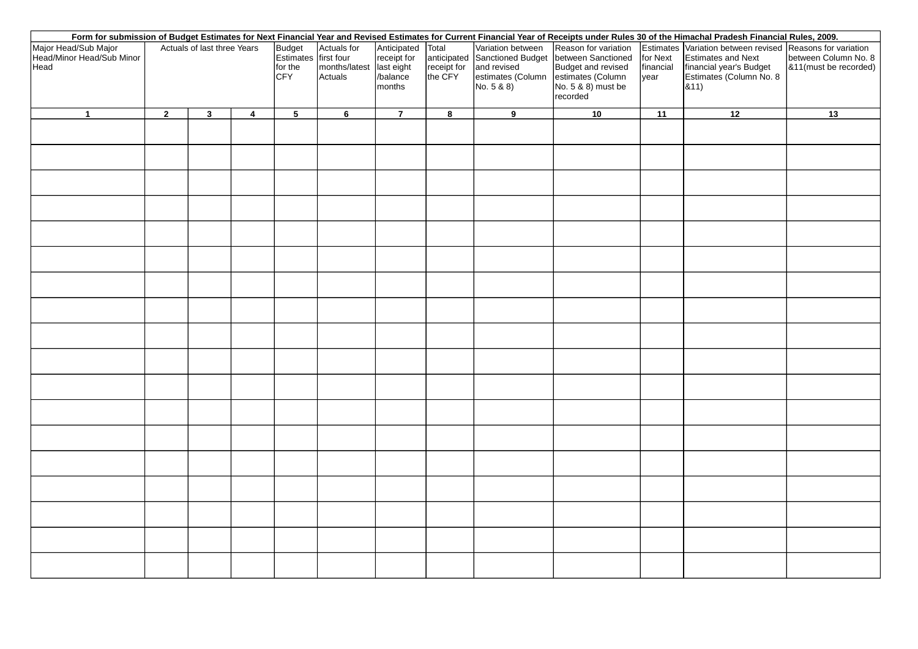| Form for submission of Budget Estimates for Next Financial Year and Revised Estimates for Current Financial Year of Receipts under Rules 30 of the Himachal Pradesh Financial Rules, 2009. |                             |              |                |                                                         |                                                    |                                                        |          |                                                                                   |                                                                                                                                                       |                                |                                                                                                                                               |                                               |
|--------------------------------------------------------------------------------------------------------------------------------------------------------------------------------------------|-----------------------------|--------------|----------------|---------------------------------------------------------|----------------------------------------------------|--------------------------------------------------------|----------|-----------------------------------------------------------------------------------|-------------------------------------------------------------------------------------------------------------------------------------------------------|--------------------------------|-----------------------------------------------------------------------------------------------------------------------------------------------|-----------------------------------------------|
| Major Head/Sub Major<br>Head/Minor Head/Sub Minor<br>Head                                                                                                                                  | Actuals of last three Years |              |                | Budget<br>Estimates first four<br>for the<br><b>CFY</b> | Actuals for<br>months/latest last eight<br>Actuals | Anticipated Total<br>receipt for<br>/balance<br>months | the CFY  | Variation between<br>receipt for and revised<br>estimates (Column<br>No. $5 & 80$ | Reason for variation<br>anticipated Sanctioned Budget between Sanctioned<br>Budget and revised<br>estimates (Column<br>No. 5 & 8) must be<br>recorded | for Next<br>financial<br> year | Estimates Variation between revised Reasons for variation<br>Estimates and Next<br>financial year's Budget<br>Estimates (Column No. 8<br>&11) | between Column No. 8<br>&11(must be recorded) |
| $\mathbf{1}$                                                                                                                                                                               | $\overline{2}$              | $\mathbf{3}$ | $\overline{4}$ | $5\phantom{.0}$                                         | $6\overline{6}$                                    | $\overline{7}$                                         | $\bf{8}$ | 9                                                                                 | 10                                                                                                                                                    | 11                             | $\overline{12}$                                                                                                                               | 13                                            |
|                                                                                                                                                                                            |                             |              |                |                                                         |                                                    |                                                        |          |                                                                                   |                                                                                                                                                       |                                |                                                                                                                                               |                                               |
|                                                                                                                                                                                            |                             |              |                |                                                         |                                                    |                                                        |          |                                                                                   |                                                                                                                                                       |                                |                                                                                                                                               |                                               |
|                                                                                                                                                                                            |                             |              |                |                                                         |                                                    |                                                        |          |                                                                                   |                                                                                                                                                       |                                |                                                                                                                                               |                                               |
|                                                                                                                                                                                            |                             |              |                |                                                         |                                                    |                                                        |          |                                                                                   |                                                                                                                                                       |                                |                                                                                                                                               |                                               |
|                                                                                                                                                                                            |                             |              |                |                                                         |                                                    |                                                        |          |                                                                                   |                                                                                                                                                       |                                |                                                                                                                                               |                                               |
|                                                                                                                                                                                            |                             |              |                |                                                         |                                                    |                                                        |          |                                                                                   |                                                                                                                                                       |                                |                                                                                                                                               |                                               |
|                                                                                                                                                                                            |                             |              |                |                                                         |                                                    |                                                        |          |                                                                                   |                                                                                                                                                       |                                |                                                                                                                                               |                                               |
|                                                                                                                                                                                            |                             |              |                |                                                         |                                                    |                                                        |          |                                                                                   |                                                                                                                                                       |                                |                                                                                                                                               |                                               |
|                                                                                                                                                                                            |                             |              |                |                                                         |                                                    |                                                        |          |                                                                                   |                                                                                                                                                       |                                |                                                                                                                                               |                                               |
|                                                                                                                                                                                            |                             |              |                |                                                         |                                                    |                                                        |          |                                                                                   |                                                                                                                                                       |                                |                                                                                                                                               |                                               |
|                                                                                                                                                                                            |                             |              |                |                                                         |                                                    |                                                        |          |                                                                                   |                                                                                                                                                       |                                |                                                                                                                                               |                                               |
|                                                                                                                                                                                            |                             |              |                |                                                         |                                                    |                                                        |          |                                                                                   |                                                                                                                                                       |                                |                                                                                                                                               |                                               |
|                                                                                                                                                                                            |                             |              |                |                                                         |                                                    |                                                        |          |                                                                                   |                                                                                                                                                       |                                |                                                                                                                                               |                                               |
|                                                                                                                                                                                            |                             |              |                |                                                         |                                                    |                                                        |          |                                                                                   |                                                                                                                                                       |                                |                                                                                                                                               |                                               |
|                                                                                                                                                                                            |                             |              |                |                                                         |                                                    |                                                        |          |                                                                                   |                                                                                                                                                       |                                |                                                                                                                                               |                                               |
|                                                                                                                                                                                            |                             |              |                |                                                         |                                                    |                                                        |          |                                                                                   |                                                                                                                                                       |                                |                                                                                                                                               |                                               |
|                                                                                                                                                                                            |                             |              |                |                                                         |                                                    |                                                        |          |                                                                                   |                                                                                                                                                       |                                |                                                                                                                                               |                                               |
|                                                                                                                                                                                            |                             |              |                |                                                         |                                                    |                                                        |          |                                                                                   |                                                                                                                                                       |                                |                                                                                                                                               |                                               |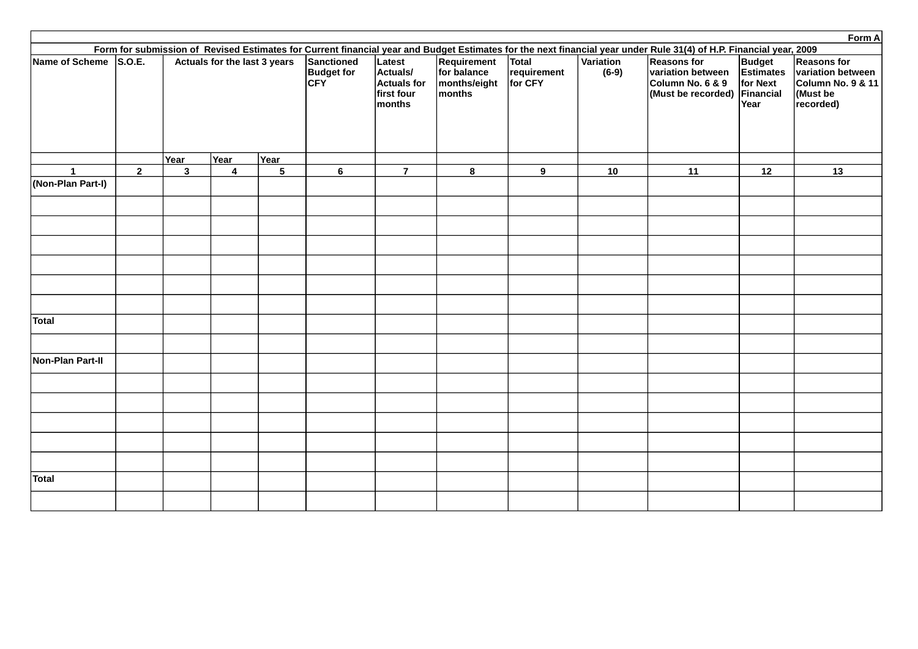|                       |                |                              |                |                |                                               |                                                                                                                                                                    |                                                      |                                        |                      |                                                                                             |                                                       | Form A                                                                                           |  |  |
|-----------------------|----------------|------------------------------|----------------|----------------|-----------------------------------------------|--------------------------------------------------------------------------------------------------------------------------------------------------------------------|------------------------------------------------------|----------------------------------------|----------------------|---------------------------------------------------------------------------------------------|-------------------------------------------------------|--------------------------------------------------------------------------------------------------|--|--|
|                       |                |                              |                |                |                                               | Form for submission of Revised Estimates for Current financial year and Budget Estimates for the next financial year under Rule 31(4) of H.P. Financial year, 2009 |                                                      |                                        |                      |                                                                                             |                                                       |                                                                                                  |  |  |
| Name of Scheme S.O.E. |                | Actuals for the last 3 years |                |                | Sanctioned<br><b>Budget for</b><br><b>CFY</b> | Latest<br>Actuals/<br><b>Actuals for</b><br>first four<br>months                                                                                                   | Requirement<br>for balance<br>months/eight<br>months | <b>Total</b><br>requirement<br>for CFY | Variation<br>$(6-9)$ | <b>Reasons for</b><br>variation between<br>Column No. 6 & 9<br>(Must be recorded) Financial | <b>Budget</b><br>Estimates<br>for Next<br><b>Year</b> | <b>Reasons for</b><br>variation between<br><b>Column No. 9 &amp; 11</b><br>(Must be<br>recorded) |  |  |
|                       |                | Year                         | <b>Year</b>    | Year           |                                               |                                                                                                                                                                    |                                                      |                                        |                      |                                                                                             |                                                       |                                                                                                  |  |  |
| $\mathbf{1}$          | $\overline{2}$ | 3                            | $\overline{4}$ | $5\phantom{a}$ | 6                                             | $\overline{7}$                                                                                                                                                     | 8                                                    | 9                                      | 10                   | <b>11</b>                                                                                   | 12                                                    | 13                                                                                               |  |  |
| (Non-Plan Part-I)     |                |                              |                |                |                                               |                                                                                                                                                                    |                                                      |                                        |                      |                                                                                             |                                                       |                                                                                                  |  |  |
|                       |                |                              |                |                |                                               |                                                                                                                                                                    |                                                      |                                        |                      |                                                                                             |                                                       |                                                                                                  |  |  |
|                       |                |                              |                |                |                                               |                                                                                                                                                                    |                                                      |                                        |                      |                                                                                             |                                                       |                                                                                                  |  |  |
|                       |                |                              |                |                |                                               |                                                                                                                                                                    |                                                      |                                        |                      |                                                                                             |                                                       |                                                                                                  |  |  |
|                       |                |                              |                |                |                                               |                                                                                                                                                                    |                                                      |                                        |                      |                                                                                             |                                                       |                                                                                                  |  |  |
|                       |                |                              |                |                |                                               |                                                                                                                                                                    |                                                      |                                        |                      |                                                                                             |                                                       |                                                                                                  |  |  |
| <b>Total</b>          |                |                              |                |                |                                               |                                                                                                                                                                    |                                                      |                                        |                      |                                                                                             |                                                       |                                                                                                  |  |  |
|                       |                |                              |                |                |                                               |                                                                                                                                                                    |                                                      |                                        |                      |                                                                                             |                                                       |                                                                                                  |  |  |
| Non-Plan Part-II      |                |                              |                |                |                                               |                                                                                                                                                                    |                                                      |                                        |                      |                                                                                             |                                                       |                                                                                                  |  |  |
|                       |                |                              |                |                |                                               |                                                                                                                                                                    |                                                      |                                        |                      |                                                                                             |                                                       |                                                                                                  |  |  |
|                       |                |                              |                |                |                                               |                                                                                                                                                                    |                                                      |                                        |                      |                                                                                             |                                                       |                                                                                                  |  |  |
|                       |                |                              |                |                |                                               |                                                                                                                                                                    |                                                      |                                        |                      |                                                                                             |                                                       |                                                                                                  |  |  |
|                       |                |                              |                |                |                                               |                                                                                                                                                                    |                                                      |                                        |                      |                                                                                             |                                                       |                                                                                                  |  |  |
|                       |                |                              |                |                |                                               |                                                                                                                                                                    |                                                      |                                        |                      |                                                                                             |                                                       |                                                                                                  |  |  |
| <b>Total</b>          |                |                              |                |                |                                               |                                                                                                                                                                    |                                                      |                                        |                      |                                                                                             |                                                       |                                                                                                  |  |  |
|                       |                |                              |                |                |                                               |                                                                                                                                                                    |                                                      |                                        |                      |                                                                                             |                                                       |                                                                                                  |  |  |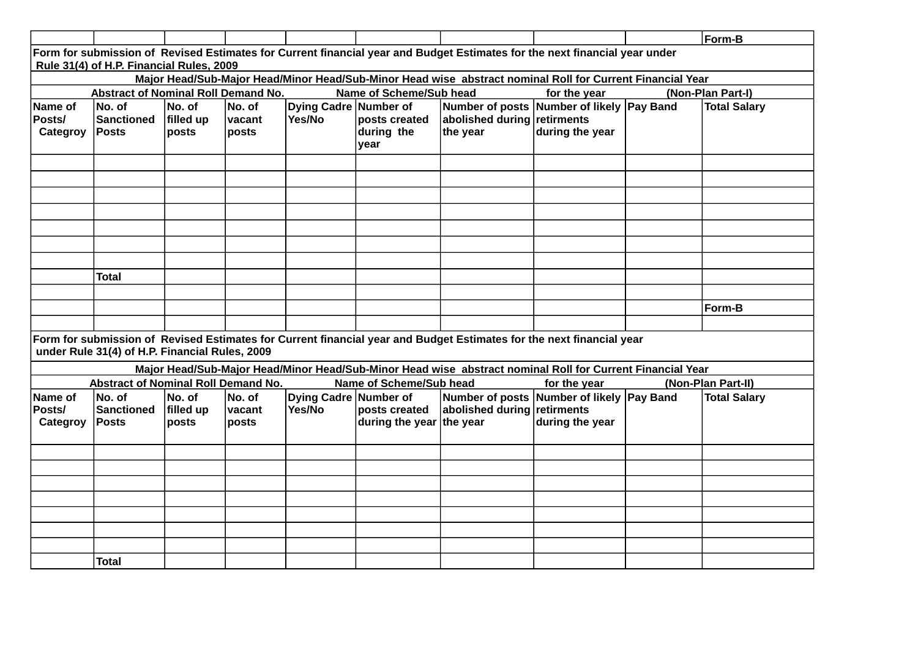|                                                                                                                                                                        |                                                |                              |                           |                                 |                                           |                                                                                                                      |                 |  | Form-B              |  |  |  |
|------------------------------------------------------------------------------------------------------------------------------------------------------------------------|------------------------------------------------|------------------------------|---------------------------|---------------------------------|-------------------------------------------|----------------------------------------------------------------------------------------------------------------------|-----------------|--|---------------------|--|--|--|
| Form for submission of Revised Estimates for Current financial year and Budget Estimates for the next financial year under<br>Rule 31(4) of H.P. Financial Rules, 2009 |                                                |                              |                           |                                 |                                           |                                                                                                                      |                 |  |                     |  |  |  |
| Major Head/Sub-Major Head/Minor Head/Sub-Minor Head wise abstract nominal Roll for Current Financial Year                                                              |                                                |                              |                           |                                 |                                           |                                                                                                                      |                 |  |                     |  |  |  |
|                                                                                                                                                                        | <b>Abstract of Nominal Roll Demand No.</b>     |                              |                           |                                 | Name of Scheme/Sub head                   |                                                                                                                      | for the year    |  | (Non-Plan Part-I)   |  |  |  |
| Name of<br><b>Posts/</b><br>Categroy                                                                                                                                   | No. of<br><b>Sanctioned</b><br>Posts           | No. of<br>filled up<br>posts | No. of<br>vacant<br>posts | Dying Cadre Number of<br>Yes/No | posts created<br>during the<br>year       | Number of posts Number of likely Pay Band<br>abolished during retirments<br>the year                                 | during the year |  | <b>Total Salary</b> |  |  |  |
|                                                                                                                                                                        |                                                |                              |                           |                                 |                                           |                                                                                                                      |                 |  |                     |  |  |  |
|                                                                                                                                                                        |                                                |                              |                           |                                 |                                           |                                                                                                                      |                 |  |                     |  |  |  |
|                                                                                                                                                                        |                                                |                              |                           |                                 |                                           |                                                                                                                      |                 |  |                     |  |  |  |
|                                                                                                                                                                        |                                                |                              |                           |                                 |                                           |                                                                                                                      |                 |  |                     |  |  |  |
|                                                                                                                                                                        | <b>Total</b>                                   |                              |                           |                                 |                                           |                                                                                                                      |                 |  |                     |  |  |  |
|                                                                                                                                                                        |                                                |                              |                           |                                 |                                           |                                                                                                                      |                 |  |                     |  |  |  |
|                                                                                                                                                                        |                                                |                              |                           |                                 |                                           |                                                                                                                      |                 |  | Form-B              |  |  |  |
|                                                                                                                                                                        |                                                |                              |                           |                                 |                                           |                                                                                                                      |                 |  |                     |  |  |  |
|                                                                                                                                                                        | under Rule 31(4) of H.P. Financial Rules, 2009 |                              |                           |                                 |                                           | Form for submission of Revised Estimates for Current financial year and Budget Estimates for the next financial year |                 |  |                     |  |  |  |
|                                                                                                                                                                        |                                                |                              |                           |                                 |                                           | Major Head/Sub-Major Head/Minor Head/Sub-Minor Head wise abstract nominal Roll for Current Financial Year            |                 |  |                     |  |  |  |
|                                                                                                                                                                        | <b>Abstract of Nominal Roll Demand No.</b>     |                              |                           |                                 | Name of Scheme/Sub head                   |                                                                                                                      | for the year    |  | (Non-Plan Part-II)  |  |  |  |
| Name of<br><b>Posts/</b><br>Categroy                                                                                                                                   | No. of<br><b>Sanctioned</b><br><b>Posts</b>    | No. of<br>filled up<br>posts | No. of<br>vacant<br>posts | Dying Cadre Number of<br>Yes/No | posts created<br>during the year the year | Number of posts Number of likely Pay Band<br>abolished during retirments                                             | during the year |  | <b>Total Salary</b> |  |  |  |
|                                                                                                                                                                        |                                                |                              |                           |                                 |                                           |                                                                                                                      |                 |  |                     |  |  |  |
|                                                                                                                                                                        |                                                |                              |                           |                                 |                                           |                                                                                                                      |                 |  |                     |  |  |  |
|                                                                                                                                                                        |                                                |                              |                           |                                 |                                           |                                                                                                                      |                 |  |                     |  |  |  |
|                                                                                                                                                                        |                                                |                              |                           |                                 |                                           |                                                                                                                      |                 |  |                     |  |  |  |
|                                                                                                                                                                        |                                                |                              |                           |                                 |                                           |                                                                                                                      |                 |  |                     |  |  |  |
|                                                                                                                                                                        |                                                |                              |                           |                                 |                                           |                                                                                                                      |                 |  |                     |  |  |  |
|                                                                                                                                                                        | <b>Total</b>                                   |                              |                           |                                 |                                           |                                                                                                                      |                 |  |                     |  |  |  |